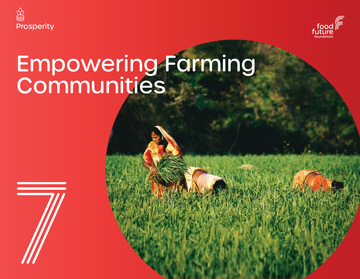

 $\overline{\phantom{a}}$ 



# Empowering Farming Communities

**Food Vision 2030 210**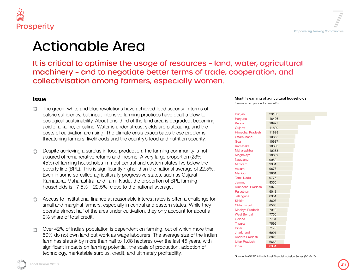

### Actionable Area

t is critical to optimise the usage of resources - land, water, agricultural nachinery - and to negotiate better terms of trade, cooperation, and collectivisation among farmers, especially women.

#### Issue

The green, white and blue revolutions have achieved food security in terms of calorie sufficiency, but input-intensive farming practices have dealt a blow to ecological sustainability. About one-third of the land area is degraded, becoming acidic, alkaline, or saline. Water is under stress, yields are plateauing, and the costs of cultivation are rising. The climate crisis exacerbates these problems threatening farmers' livelihoods and the country's food and nutrition security.

Despite achieving a surplus in food production, the farming community is not assured of remunerative returns and income. A very large proportion (23% - 45%) of farming households in most central and eastern states live below the poverty line (BPL). This is significantly higher than the national average of 22.5%. Even in some so-called agriculturally progressive states, such as Gujarat, Karnataka, Maharashtra, and Tamil Nadu, the proportion of BPL farming households is 17.5% – 22.5%, close to the national average.

Access to institutional finance at reasonable interest rates is often a challenge for small and marginal farmers, especially in central and eastern states. While they operate almost half of the area under cultivation, they only account for about a 9% share of total credit.

Over 42% of India's population is dependent on farming, out of which more than 50% do not own land but work as wage labourers. The average size of the Indian farm has shrunk by more than half to 1.08 hectares over the last 45 years, with significant impacts on farming potential, the scale of production, adoption of technology, marketable surplus, credit, and ultimately profitability.<br>Source: NABARD All India Rural Financial Inclusion Survey (2016-17)

#### Monthly earning of agricultural households

State-wise comparison; Income in Rs

| Punjab                   | 23133 |  |
|--------------------------|-------|--|
| Haryana                  | 18496 |  |
| Kerala                   | 16927 |  |
| Gujarat                  | 11899 |  |
| <b>Himachal Pradesh</b>  | 11828 |  |
| <b>Uttarakhand</b>       | 10855 |  |
| Goa                      | 10687 |  |
| Karnataka                | 10603 |  |
| Maharashtra              | 10268 |  |
| Meghalaya                | 10039 |  |
| Nagaland                 | 9950  |  |
| <b>Mizoram</b>           | 9931  |  |
| Assam                    | 9878  |  |
| Manipur                  | 9861  |  |
| <b>Tamil Nadu</b>        | 9775  |  |
| Jammu                    | 9355  |  |
| <b>Arunachal Pradesh</b> | 9072  |  |
| Rajasthan                | 9013  |  |
| Telangana                | 8951  |  |
| <b>Sikkim</b>            | 8603  |  |
| Chhattisgarh             | 8580  |  |
| Madhya Pradesh           | 7919  |  |
| <b>West Bengal</b>       | 7756  |  |
| Odisha                   | 7731  |  |
| <b>Tripura</b>           | 7592  |  |
| <b>Bihar</b>             | 7175  |  |
| Jharkhand                | 6991  |  |
| <b>Andhra Pradesh</b>    | 6920  |  |
| <b>Uttar Pradesh</b>     | 6668  |  |
| India                    | 8931  |  |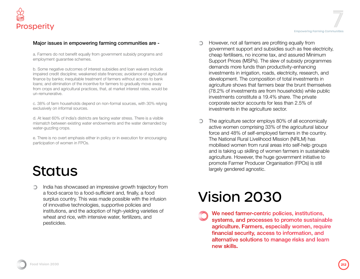#### Major issues in empowering farming communities are -

a. Farmers do not benefit equally from government subsidy programs and employment guarantee schemes.

b. Some negative outcomes of interest subsidies and loan waivers include impaired credit discipline; weakened state finances; avoidance of agricultural finance by banks; inequitable treatment of farmers without access to bank loans; and elimination of the incentive for farmers to gradually move away from crops and agricultural practices, that, at market interest rates, would be un-remunerative.

c. 38% of farm households depend on non-formal sources, with 30% relying exclusively on informal sources.

d. At least 60% of India's districts are facing water stress. There is a visible mismatch between existing water endowments and the water demanded by water-guzzling crops.

e. There is no overt emphasis either in policy or in execution for encouraging participation of women in FPOs.

### **Status**

India has showcased an impressive growth trajectory from  $\bigcirc$ a food-scarce to a food-sufficient and, finally, a food surplus country. This was made possible with the infusion of innovative technologies, supportive policies and institutions, and the adoption of high-yielding varieties of wheat and rice, with intensive water, fertilizers, and pesticides.

- However, not all farmers are profiting equally from government support and subsidies such as free electricity, cheap fertilisers, no income tax, and assured Minimum Support Prices (MSPs). The slew of subsidy programmes demands more funds than productivity-enhancing investments in irrigation, roads, electricity, research, and development. The composition of total investments in agriculture shows that farmers bear the brunt themselves (78.2% of investments are from households) while public investments constitute a 19.4% share. The private corporate sector accounts for less than 2.5% of investments in the agriculture sector.
- The agriculture sector employs 80% of all economically active women comprising 33% of the agricultural labour force and 48% of self-employed farmers in the country. The National Rural Livelihood Mission (NRLM) has mobilised women from rural areas into self-help groups and is taking up skilling of women farmers in sustainable agriculture. However, the huge government initiative to promote Farmer Producer Organisation (FPOs) is still largely gendered agnostic.

## Vision 2030

We need farmer-centric policies, institutions, systems, and processes to promote sustainable agriculture. Farmers, especially women, require financial security, access to information, and alternative solutions to manage risks and learn new skills.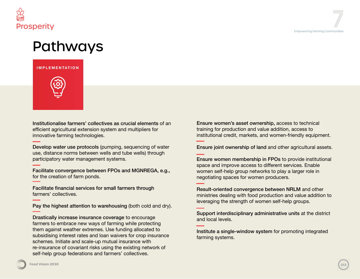

### Pathways





Institutionalise farmers' collectives as crucial elements of an efficient agricultural extension system and multipliers for innovative farming technologies.

Develop water use protocols (pumping, sequencing of water use, distance norms between wells and tube wells) through participatory water management systems.

Facilitate convergence between FPOs and MGNREGA, e.g., for the creation of farm ponds.

Facilitate financial services for small farmers through farmers' collectives.

Pay the highest attention to warehousing (both cold and dry).

Drastically increase insurance coverage to encourage farmers to embrace new ways of farming while protecting them against weather extremes. Use funding allocated to subsidising interest rates and loan waivers for crop insurance schemes. Initiate and scale-up mutual insurance with re-insurance of covariant risks using the existing network of self-help group federations and farmers' collectives.

Ensure women's asset ownership, access to technical training for production and value addition, access to institutional credit, markets, and women-friendly equipment.

Ensure joint ownership of land and other agricultural assets.

Ensure women membership in FPOs to provide institutional space and improve access to different services. Enable women self-help group networks to play a larger role in negotiating spaces for women producers.

Result-oriented convergence between NRLM and other ministries dealing with food production and value addition to leveraging the strength of women self-help groups.

Support interdisciplinary administrative units at the district and local levels.

Institute a single-window system for promoting integrated farming systems.